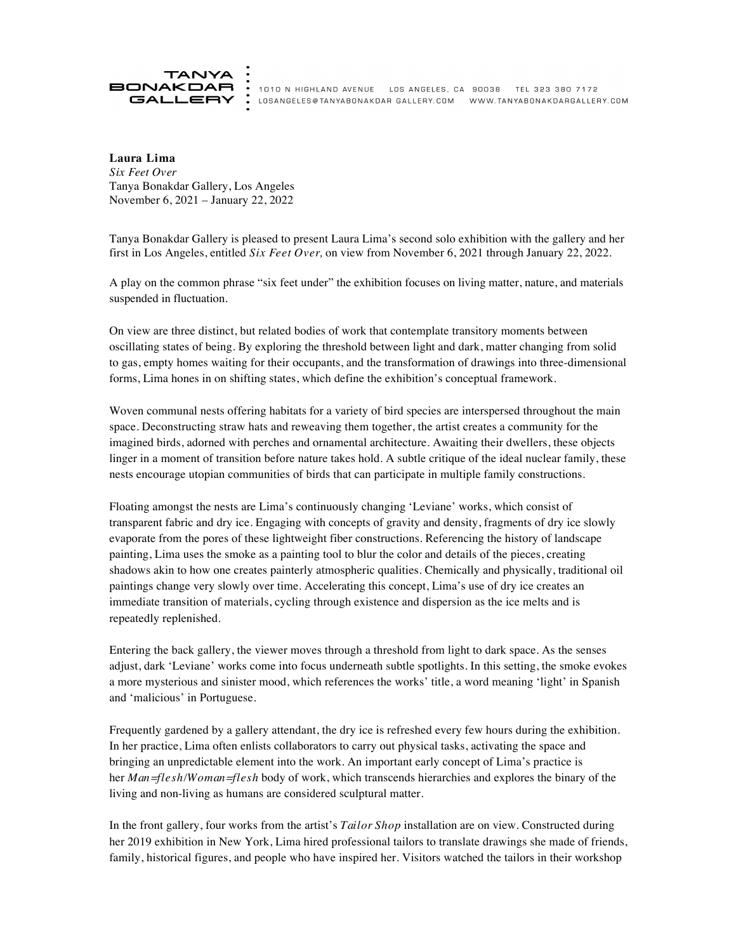

1010 N HIGHLAND AVENUE LOS ANGELES, CA 90038 TEL 323 380 7172 GALLERY: LOSANGELES@TANYABONAKDAR GALLERY.COM WWW.TANYABONAKDARGALLERY.COM

**Laura Lima** *Six Feet Over* Tanya Bonakdar Gallery, Los Angeles November 6, 2021 – January 22, 2022

Tanya Bonakdar Gallery is pleased to present Laura Lima's second solo exhibition with the gallery and her first in Los Angeles, entitled *Six Feet Over,* on view from November 6, 2021 through January 22, 2022.

A play on the common phrase "six feet under" the exhibition focuses on living matter, nature, and materials suspended in fluctuation.

On view are three distinct, but related bodies of work that contemplate transitory moments between oscillating states of being. By exploring the threshold between light and dark, matter changing from solid to gas, empty homes waiting for their occupants, and the transformation of drawings into three-dimensional forms, Lima hones in on shifting states, which define the exhibition's conceptual framework.

Woven communal nests offering habitats for a variety of bird species are interspersed throughout the main space. Deconstructing straw hats and reweaving them together, the artist creates a community for the imagined birds, adorned with perches and ornamental architecture. Awaiting their dwellers, these objects linger in a moment of transition before nature takes hold. A subtle critique of the ideal nuclear family, these nests encourage utopian communities of birds that can participate in multiple family constructions.

Floating amongst the nests are Lima's continuously changing 'Leviane' works, which consist of transparent fabric and dry ice. Engaging with concepts of gravity and density, fragments of dry ice slowly evaporate from the pores of these lightweight fiber constructions. Referencing the history of landscape painting, Lima uses the smoke as a painting tool to blur the color and details of the pieces, creating shadows akin to how one creates painterly atmospheric qualities. Chemically and physically, traditional oil paintings change very slowly over time. Accelerating this concept, Lima's use of dry ice creates an immediate transition of materials, cycling through existence and dispersion as the ice melts and is repeatedly replenished.

Entering the back gallery, the viewer moves through a threshold from light to dark space. As the senses adjust, dark 'Leviane' works come into focus underneath subtle spotlights. In this setting, the smoke evokes a more mysterious and sinister mood, which references the works' title, a word meaning 'light' in Spanish and 'malicious' in Portuguese.

Frequently gardened by a gallery attendant, the dry ice is refreshed every few hours during the exhibition. In her practice, Lima often enlists collaborators to carry out physical tasks, activating the space and bringing an unpredictable element into the work. An important early concept of Lima's practice is her *Man=flesh/Woman=flesh* body of work, which transcends hierarchies and explores the binary of the living and non-living as humans are considered sculptural matter.

In the front gallery, four works from the artist's *Tailor Shop* installation are on view. Constructed during her 2019 exhibition in New York, Lima hired professional tailors to translate drawings she made of friends, family, historical figures, and people who have inspired her. Visitors watched the tailors in their workshop